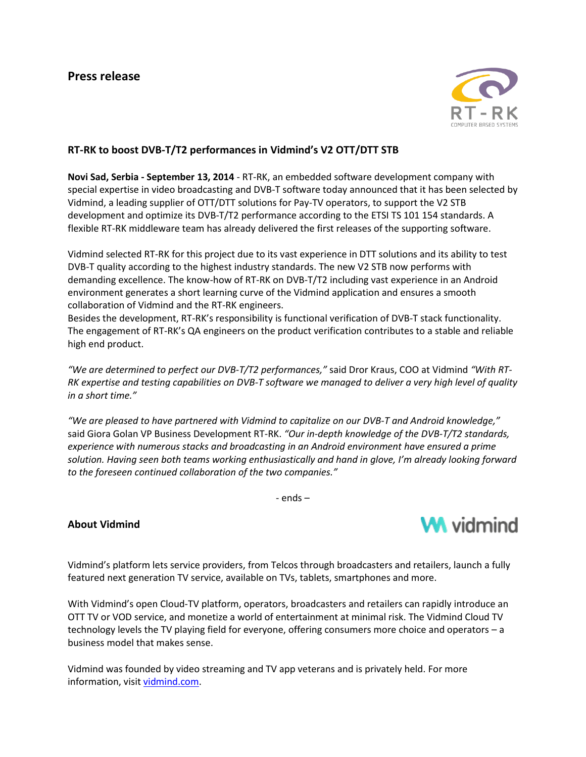

## **RT-RK to boost DVB-T/T2 performances in Vidmind's V2 OTT/DTT STB**

**Novi Sad, Serbia - September 13, 2014** - RT-RK, an embedded software development company with special expertise in video broadcasting and DVB-T software today announced that it has been selected by Vidmind, a leading supplier of OTT/DTT solutions for Pay-TV operators, to support the V2 STB development and optimize its DVB-T/T2 performance according to the ETSI TS 101 154 standards. A flexible RT-RK middleware team has already delivered the first releases of the supporting software.

Vidmind selected RT-RK for this project due to its vast experience in DTT solutions and its ability to test DVB-T quality according to the highest industry standards. The new V2 STB now performs with demanding excellence. The know-how of RT-RK on DVB-T/T2 including vast experience in an Android environment generates a short learning curve of the Vidmind application and ensures a smooth collaboration of Vidmind and the RT-RK engineers.

Besides the development, RT-RK's responsibility is functional verification of DVB-T stack functionality. The engagement of RT-RK's QA engineers on the product verification contributes to a stable and reliable high end product.

*"We are determined to perfect our DVB-T/T2 performances,"* said Dror Kraus, COO at Vidmind *"With RT-RK expertise and testing capabilities on DVB-T software we managed to deliver a very high level of quality in a short time."*

*"We are pleased to have partnered with Vidmind to capitalize on our DVB-T and Android knowledge,"* said Giora Golan VP Business Development RT-RK. *"Our in-depth knowledge of the DVB-T/T2 standards, experience with numerous stacks and broadcasting in an Android environment have ensured a prime solution. Having seen both teams working enthusiastically and hand in glove, I'm already looking forward to the foreseen continued collaboration of the two companies."*

- ends –

## **About Vidmind**



Vidmind's platform lets service providers, from Telcos through broadcasters and retailers, launch a fully featured next generation TV service, available on TVs, tablets, smartphones and more.

With Vidmind's open Cloud-TV platform, operators, broadcasters and retailers can rapidly introduce an OTT TV or VOD service, and monetize a world of entertainment at minimal risk. The Vidmind Cloud TV technology levels the TV playing field for everyone, offering consumers more choice and operators – a business model that makes sense.

Vidmind was founded by video streaming and TV app veterans and is privately held. For more information, visi[t vidmind.com.](http://www.vidmind.com/)